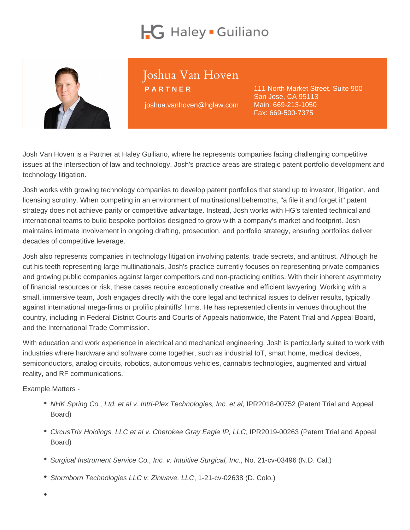# Joshua Van Hoven

PARTNER

joshua.vanhoven@hglaw.com

111 North Market Street, Suite 900 San Jose, CA 95113 Main: [669-213-1050](tel:+1-669-213-1050) Fax: 669-500-7375

Josh Van Hoven is a Partner at Haley Guiliano, where he represents companies facing challenging competitive issues at the intersection of law and technology. Josh's practice areas are strategic patent portfolio development and technology litigation.

Josh works with growing technology companies to develop patent portfolios that stand up to investor, litigation, and licensing scrutiny. When competing in an environment of multinational behemoths, "a file it and forget it" patent strategy does not achieve parity or competitive advantage. Instead, Josh works with HG's talented technical and international teams to build bespoke portfolios designed to grow with a company's market and footprint. Josh maintains intimate involvement in ongoing drafting, prosecution, and portfolio strategy, ensuring portfolios deliver decades of competitive leverage.

Josh also represents companies in technology litigation involving patents, trade secrets, and antitrust. Although he cut his teeth representing large multinationals, Josh's practice currently focuses on representing private companies and growing public companies against larger competitors and non-practicing entities. With their inherent asymmetry of financial resources or risk, these cases require exceptionally creative and efficient lawyering. Working with a small, immersive team, Josh engages directly with the core legal and technical issues to deliver results, typically against international mega-firms or prolific plaintiffs' firms. He has represented clients in venues throughout the country, including in Federal District Courts and Courts of Appeals nationwide, the Patent Trial and Appeal Board, and the International Trade Commission.

With education and work experience in electrical and mechanical engineering, Josh is particularly suited to work with industries where hardware and software come together, such as industrial IoT, smart home, medical devices, semiconductors, analog circuits, robotics, autonomous vehicles, cannabis technologies, augmented and virtual reality, and RF communications.

Example Matters -

- NHK Spring Co., Ltd. et al v. Intri-Plex Technologies, Inc. et al, IPR2018-00752 (Patent Trial and Appeal Board)
- CircusTrix Holdings, LLC et al v. Cherokee Gray Eagle IP, LLC, IPR2019-00263 (Patent Trial and Appeal Board)
- Surgical Instrument Service Co., Inc. v. Intuitive Surgical, Inc., No. 21-cv-03496 (N.D. Cal.)
- Stormborn Technologies LLC v. Zinwave, LLC, 1-21-cv-02638 (D. Colo.)
-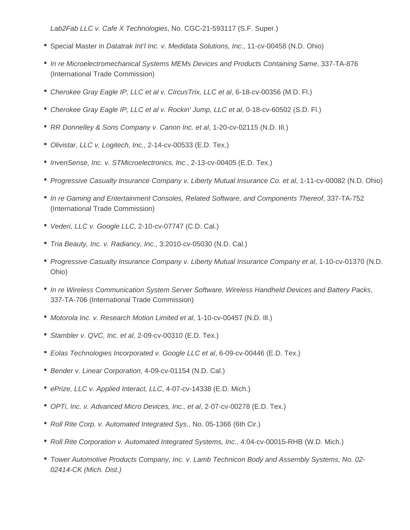Lab2Fab LLC v. Cafe X Technologies, No. CGC-21-593117 (S.F. Super.)

- **Special Master in Datatrak Int'l Inc. v. Medidata Solutions, Inc., 11-cv-00458 (N.D. Ohio)**
- In re Microelectromechanical Systems MEMs Devices and Products Containing Same, 337-TA-876 (International Trade Commission)
- Cherokee Gray Eagle IP, LLC et al v. CircusTrix, LLC et al, 6-18-cv-00356 (M.D. Fl.)
- Cherokee Gray Eagle IP, LLC et al v. Rockin' Jump, LLC et al, 0-18-cv-60502 (S.D. Fl.)
- RR Donnelley & Sons Company v. Canon Inc. et al, 1-20-cv-02115 (N.D. IIl.)
- Olivistar, LLC v. Logitech, Inc., 2-14-cv-00533 (E.D. Tex.)
- InvenSense, Inc. v. STMicroelectronics, Inc., 2-13-cv-00405 (E.D. Tex.)
- Progressive Casualty Insurance Company v. Liberty Mutual Insurance Co. et al, 1-11-cv-00082 (N.D. Ohio)
- In re Gaming and Entertainment Consoles, Related Software, and Components Thereof, 337-TA-752 (International Trade Commission)
- Vederi, LLC v. Google LLC, 2-10-cv-07747 (C.D. Cal.)
- Tria Beauty, Inc. v. Radiancy, Inc., 3:2010-cv-05030 (N.D. Cal.)
- Progressive Casualty Insurance Company v. Liberty Mutual Insurance Company et al, 1-10-cv-01370 (N.D. Ohio)
- In re Wireless Communication System Server Software, Wireless Handheld Devices and Battery Packs, 337-TA-706 (International Trade Commission)
- Motorola Inc. v. Research Motion Limited et al, 1-10-cv-00457 (N.D. Ill.)
- Stambler v. QVC, Inc. et al, 2-09-cv-00310 (E.D. Tex.)
- Eolas Technologies Incorporated v. Google LLC et al, 6-09-cv-00446 (E.D. Tex.)
- Bender v. Linear Corporation, 4-09-cv-01154 (N.D. Cal.)
- ePrize, LLC v. Applied Interact, LLC, 4-07-cv-14338 (E.D. Mich.)
- OPTi, Inc. v. Advanced Micro Devices, Inc., et al, 2-07-cv-00278 (E.D. Tex.)
- Roll Rite Corp. v. Automated Integrated Sys., No. 05-1366 (6th Cir.)
- Roll Rite Corporation v. Automated Integrated Systems, Inc., 4:04-cv-00015-RHB (W.D. Mich.)
- Tower Automotive Products Company, Inc. v. Lamb Technicon Body and Assembly Systems, No. 02- 02414-CK (Mich. Dist.)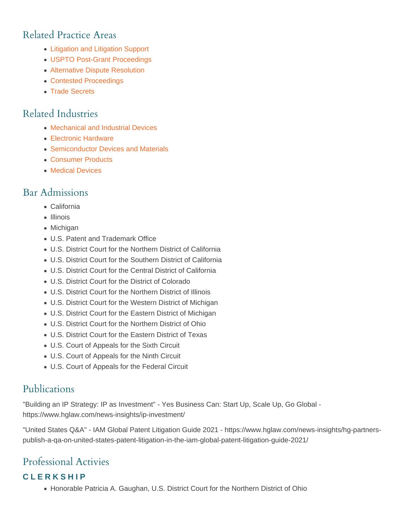## Related Practice Areas

- [Litigation and Litigation Support](https://www.hglaw.com/practice-areas/contested-proceedings/litigation-support/)
- [USPTO Post-Grant Proceedings](https://www.hglaw.com/practice-areas/contested-proceedings/uspto-post-grant-proceedings/)
- [Alternative Dispute Resolution](https://www.hglaw.com/practice-areas/contested-proceedings/alternative-dispute-resolution/)
- [Contested Proceedings](https://www.hglaw.com/practice-areas/contested-proceedings/)
- [Trade Secrets](https://www.hglaw.com/practice-areas/trade-secrets/)

## Related Industries

- [Mechanical and Industrial Devices](https://www.hglaw.com/industries/mechanical-industrial-devices/)
- [Electronic Hardware](https://www.hglaw.com/industries/electronic-hardware/)
- [Semiconductor Devices and Materials](https://www.hglaw.com/industries/semiconductors-devices-materials/)
- [Consumer Products](https://www.hglaw.com/industries/consumer-products/)
- [Medical Devices](https://www.hglaw.com/industries/medical-devices/)

#### Bar Admissions

- California
- Illinois
- Michigan
- U.S. Patent and Trademark Office
- U.S. District Court for the Northern District of California
- U.S. District Court for the Southern District of California
- U.S. District Court for the Central District of California
- U.S. District Court for the District of Colorado
- U.S. District Court for the Northern District of Illinois
- U.S. District Court for the Western District of Michigan
- U.S. District Court for the Eastern District of Michigan
- U.S. District Court for the Northern District of Ohio
- U.S. District Court for the Eastern District of Texas
- U.S. Court of Appeals for the Sixth Circuit
- U.S. Court of Appeals for the Ninth Circuit
- U.S. Court of Appeals for the Federal Circuit

### Publications

"Building an IP Strategy: IP as Investment" - Yes Business Can: Start Up, Scale Up, Go Global https://www.hglaw.com/news-insights/ip-investment/

"United States Q&A" - IAM Global Patent Litigation Guide 2021 - https://www.hglaw.com/news-insights/hg-partnerspublish-a-qa-on-united-states-patent-litigation-in-the-iam-global-patent-litigation-guide-2021/

# Professional Activies

#### CLERKSHIP

• Honorable Patricia A. Gaughan, U.S. District Court for the Northern District of Ohio